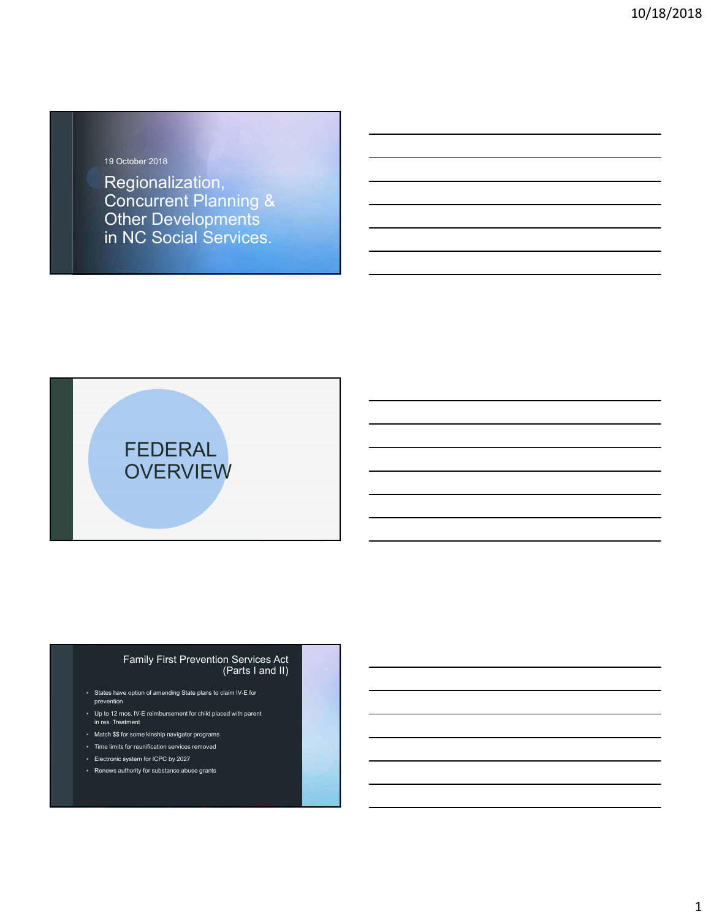## 19 October 2018

Regionalization, Concurrent Planning & Other Developments in NC Social Services.



## Family First Prevention Services Act (Parts I and II)

- States have option of amending State plans to claim IV-E for prevention
- Up to 12 mos. IV-E reimbursement for child placed with parent in res. Treatment
- Match \$\$ for some kinship navigator programs
- Time limits for reunification services removed
- Electronic system for ICPC by 2027
- Renews authority for substance abuse grants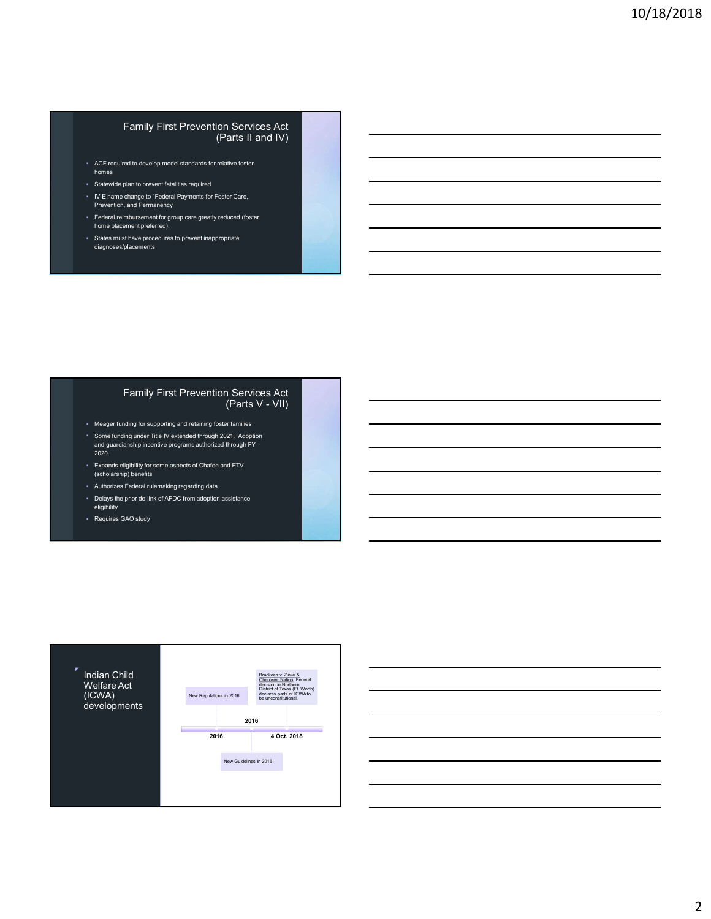#### Family First Prevention Services Act (Parts II and IV)

- ACF required to develop model standards for relative foster homes
- Statewide plan to prevent fatalities required
- IV-E name change to "Federal Payments for Foster Care, Prevention, and Permanency
- Federal reimbursement for group care greatly reduced (foster home placement preferred).
- States must have procedures to prevent inappropriate diagnoses/placements

#### Family First Prevention Services Act (Parts V - VII)

- Meager funding for supporting and retaining foster families
- Some funding under Title IV extended through 2021. Adoption and guardianship incentive programs authorized through FY 2020.
- Expands eligibility for some aspects of Chafee and ETV (scholarship) benefits
- Authorizes Federal rulemaking regarding data
- Delays the prior de-link of AFDC from adoption assistance eligibility
- Requires GAO study



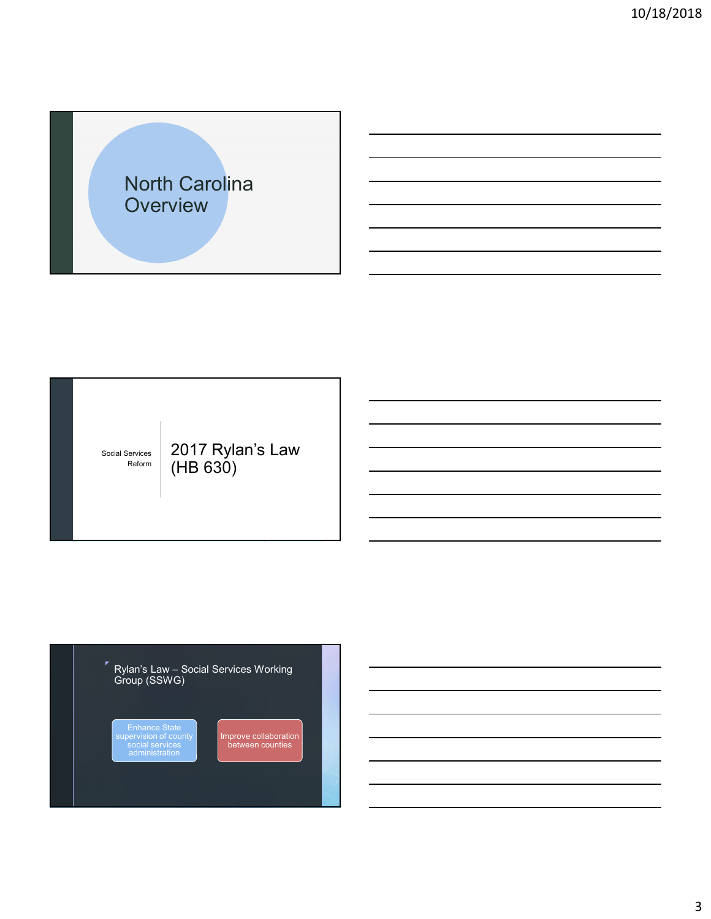



2017 Rylan's Law (HB 630)





Improve collaboration between counties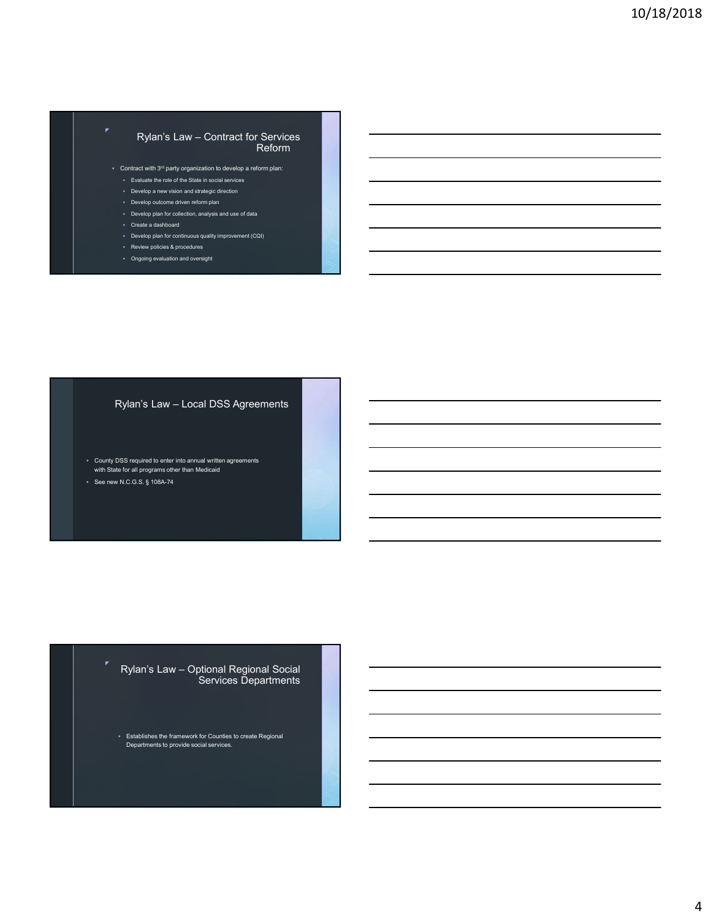## Rylan's Law – Contract for Services Reform

- Contract with 3rd party organization to develop a reform plan:
	- Evaluate the role of the State in social services
	- **Develop a new vision and strategic direction**
	- Develop outcome driven reform plan
	- Develop plan for collection, analysis and use of data
	- Create a dashboard
	- Develop plan for continuous quality improvement (CQI) Review policies & procedures
	- Ongoing evaluation and oversight

## Rylan's Law – Local DSS Agreements

- County DSS required to enter into annual written agreements with State for all programs other than Medicaid
- See new N.C.G.S. § 108A-74

#### Rylan's Law – Optional Regional Social Services Departments

Establishes the framework for Counties to create Regional Departments to provide social services.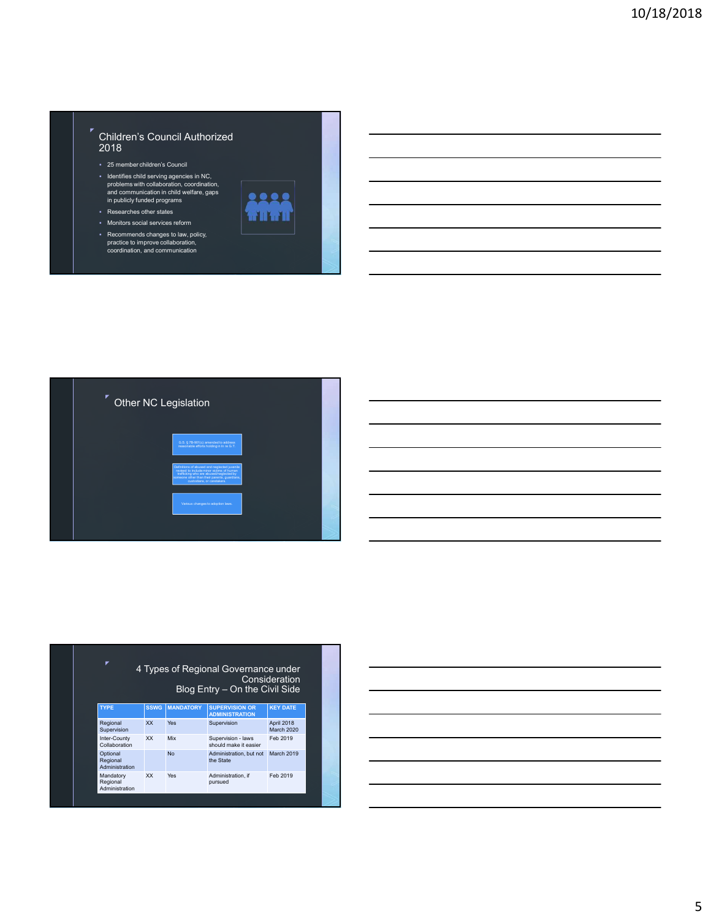## Children's Council Authorized 2018

25 member children's Council

◤

- Identifies child serving agencies in NC, problems with collaboration, coordination, and communication in child welfare, gaps in publicly funded programs
- Researches other states
- Monitors social services reform
- Recommends changes to law, policy, practice to improve collaboration, coordination, and communication







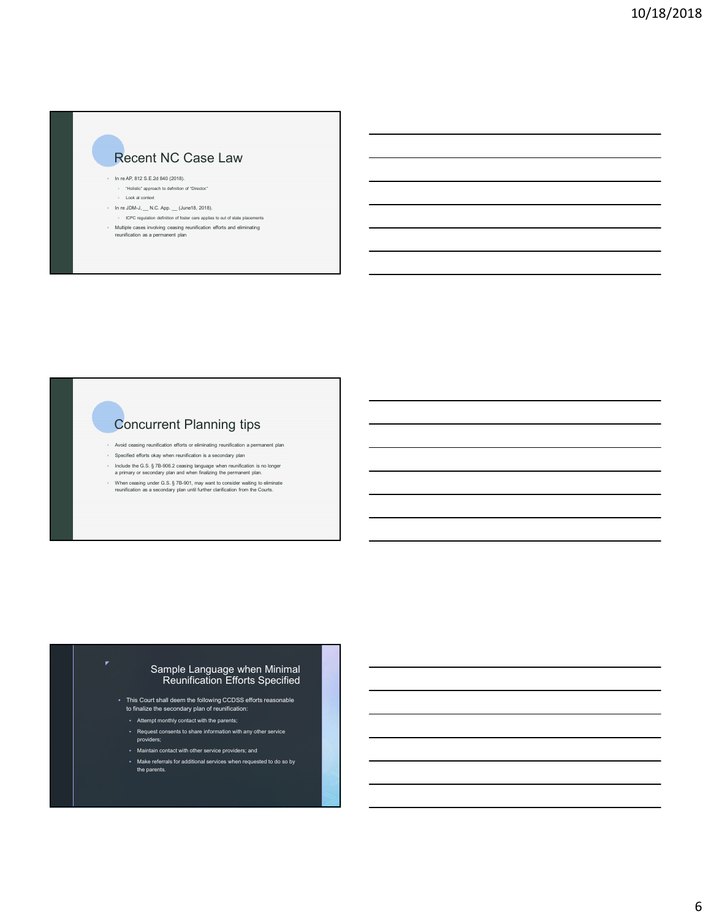# Recent NC Case Law

In re AP, 812 S.E.2d 840 (2018).

- "Holistic" approach to definition of "Director." Look at context
- 
- $\blacksquare$  In re JDM-J, \_\_ N.C. App. \_\_ (June18, 2018). ICPC regulation definition of foster care applies to out of state placements
- Multiple cases involving ceasing reunification efforts and eliminating reunification as a permanent plan

# Concurrent Planning tips

- Avoid ceasing reunification efforts or eliminating reunification a permanent plan
- Specified efforts okay when reunification is a secondary plan
- Include the G.S. § 7B-906.2 ceasing language when reunification is no longer a primary or secondary plan and when finalizing the permanent plan.
- When ceasing under G.S. § 7B-901, may want to consider waiting to eliminate reunification as a secondary plan until further clarification from the Courts.

## Sample Language when Minimal Reunification Efforts Specified

- This Court shall deem the following CCDSS efforts reasonable to finalize the secondary plan of reunification:
- Attempt monthly contact with the parents;
- Request consents to share information with any other service providers;
- Maintain contact with other service providers; and
- Make referrals for additional services when requested to do so by the parents.
-